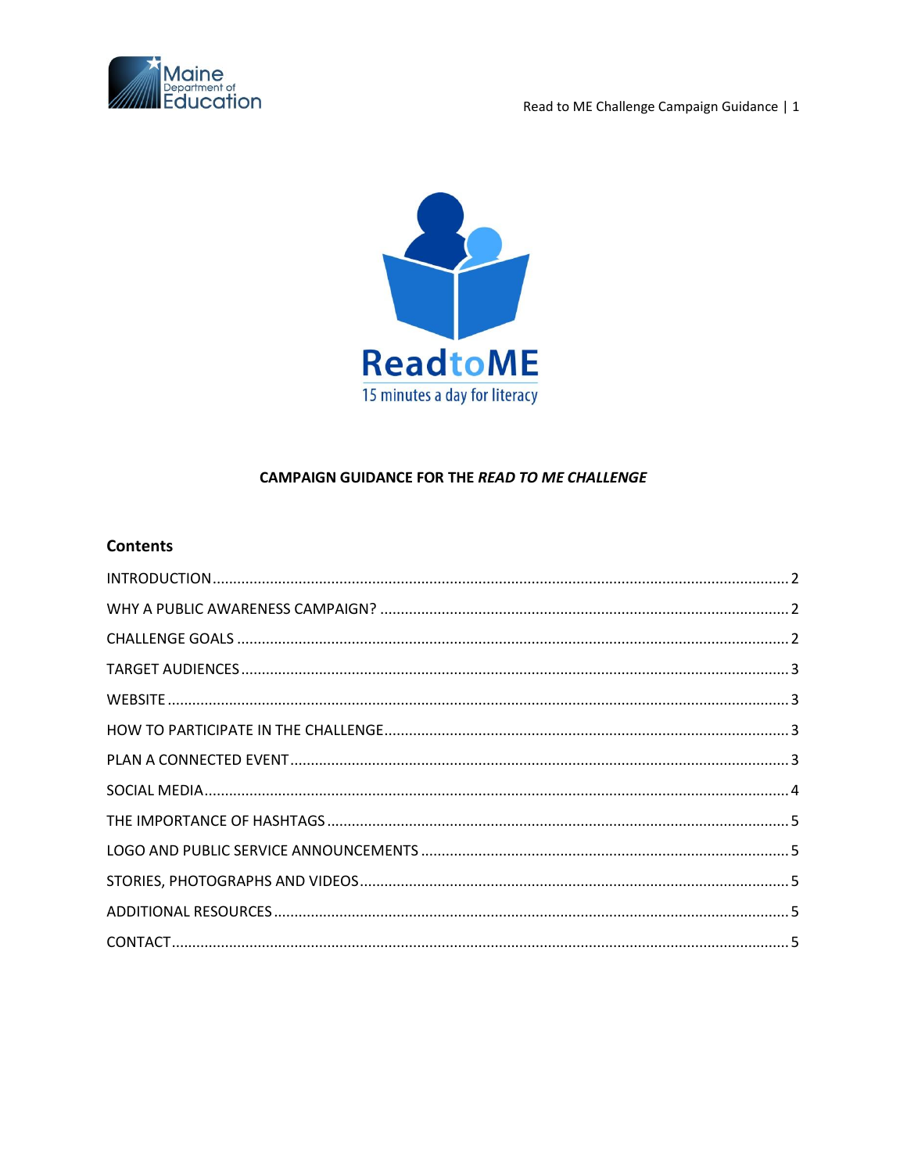

Read to ME Challenge Campaign Guidance | 1



# **CAMPAIGN GUIDANCE FOR THE READ TO ME CHALLENGE**

# **Contents**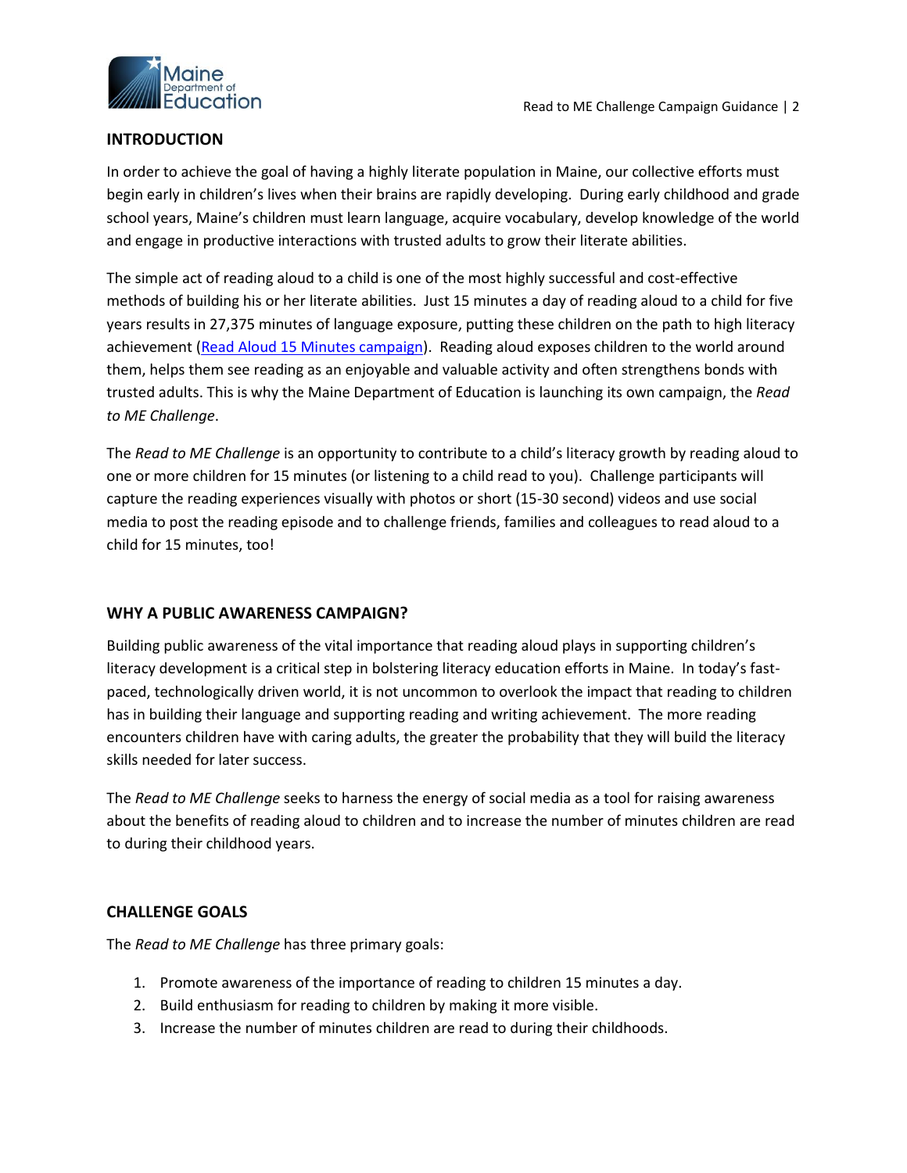

## <span id="page-1-0"></span>**INTRODUCTION**

In order to achieve the goal of having a highly literate population in Maine, our collective efforts must begin early in children's lives when their brains are rapidly developing. During early childhood and grade school years, Maine's children must learn language, acquire vocabulary, develop knowledge of the world and engage in productive interactions with trusted adults to grow their literate abilities.

The simple act of reading aloud to a child is one of the most highly successful and cost-effective methods of building his or her literate abilities. Just 15 minutes a day of reading aloud to a child for five years results in 27,375 minutes of language exposure, putting these children on the path to high literacy achievement [\(Read Aloud 15 Minutes campaign\)](http://www.readaloud.org/). Reading aloud exposes children to the world around them, helps them see reading as an enjoyable and valuable activity and often strengthens bonds with trusted adults. This is why the Maine Department of Education is launching its own campaign, the *Read to ME Challenge*.

The *Read to ME Challenge* is an opportunity to contribute to a child's literacy growth by reading aloud to one or more children for 15 minutes (or listening to a child read to you). Challenge participants will capture the reading experiences visually with photos or short (15-30 second) videos and use social media to post the reading episode and to challenge friends, families and colleagues to read aloud to a child for 15 minutes, too!

## <span id="page-1-1"></span>**WHY A PUBLIC AWARENESS CAMPAIGN?**

Building public awareness of the vital importance that reading aloud plays in supporting children's literacy development is a critical step in bolstering literacy education efforts in Maine. In today's fastpaced, technologically driven world, it is not uncommon to overlook the impact that reading to children has in building their language and supporting reading and writing achievement. The more reading encounters children have with caring adults, the greater the probability that they will build the literacy skills needed for later success.

The *Read to ME Challenge* seeks to harness the energy of social media as a tool for raising awareness about the benefits of reading aloud to children and to increase the number of minutes children are read to during their childhood years.

## <span id="page-1-2"></span>**CHALLENGE GOALS**

The *Read to ME Challenge* has three primary goals:

- 1. Promote awareness of the importance of reading to children 15 minutes a day.
- 2. Build enthusiasm for reading to children by making it more visible.
- 3. Increase the number of minutes children are read to during their childhoods.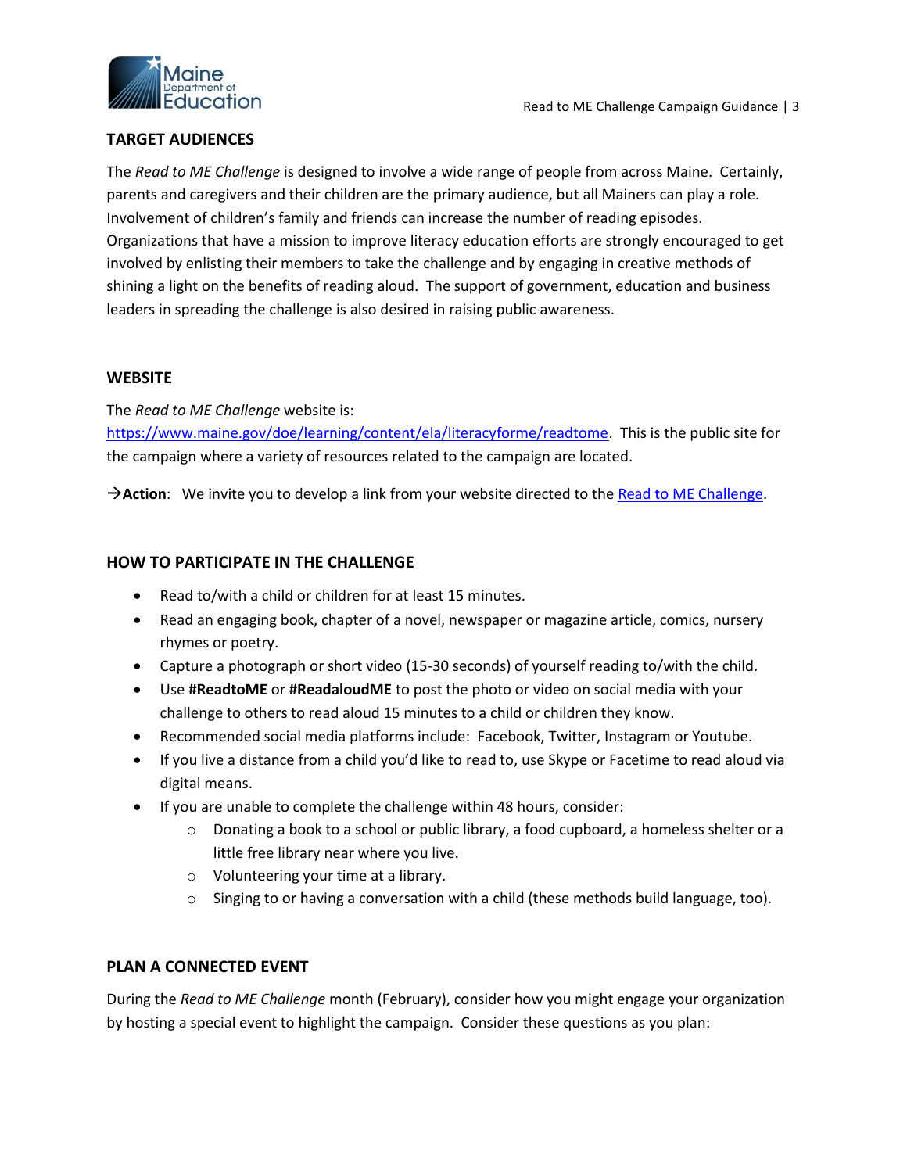

### <span id="page-2-0"></span>**TARGET AUDIENCES**

The *Read to ME Challenge* is designed to involve a wide range of people from across Maine. Certainly, parents and caregivers and their children are the primary audience, but all Mainers can play a role. Involvement of children's family and friends can increase the number of reading episodes. Organizations that have a mission to improve literacy education efforts are strongly encouraged to get involved by enlisting their members to take the challenge and by engaging in creative methods of shining a light on the benefits of reading aloud. The support of government, education and business leaders in spreading the challenge is also desired in raising public awareness.

#### <span id="page-2-1"></span>**WEBSITE**

The *Read to ME Challenge* website is:

[https://www.maine.gov/doe/learning/content/ela/literacyforme/readtome.](https://www.maine.gov/doe/learning/content/ela/literacyforme/readtome) This is the public site for the campaign where a variety of resources related to the campaign are located.

**Action**: We invite you to develop a link from your website directed to the [Read to ME Challenge.](https://www.maine.gov/doe/learning/content/ela/literacyforme/readtome)

#### <span id="page-2-2"></span>**HOW TO PARTICIPATE IN THE CHALLENGE**

- Read to/with a child or children for at least 15 minutes.
- Read an engaging book, chapter of a novel, newspaper or magazine article, comics, nursery rhymes or poetry.
- Capture a photograph or short video (15-30 seconds) of yourself reading to/with the child.
- Use **#ReadtoME** or **#ReadaloudME** to post the photo or video on social media with your challenge to others to read aloud 15 minutes to a child or children they know.
- Recommended social media platforms include: Facebook, Twitter, Instagram or Youtube.
- If you live a distance from a child you'd like to read to, use Skype or Facetime to read aloud via digital means.
- If you are unable to complete the challenge within 48 hours, consider:
	- o Donating a book to a school or public library, a food cupboard, a homeless shelter or a little free library near where you live.
	- o Volunteering your time at a library.
	- $\circ$  Singing to or having a conversation with a child (these methods build language, too).

#### <span id="page-2-3"></span>**PLAN A CONNECTED EVENT**

During the *Read to ME Challenge* month (February), consider how you might engage your organization by hosting a special event to highlight the campaign. Consider these questions as you plan: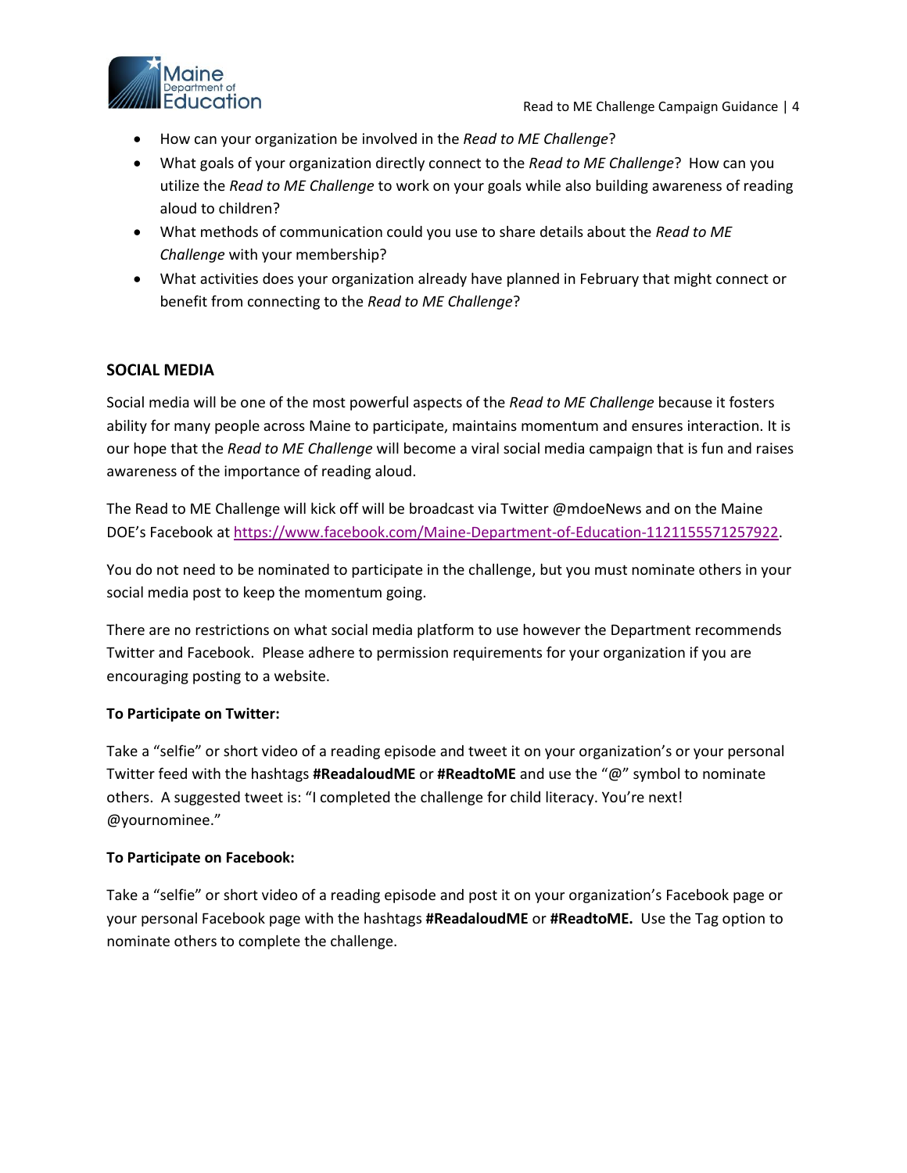

- How can your organization be involved in the *Read to ME Challenge*?
- What goals of your organization directly connect to the *Read to ME Challenge*? How can you utilize the *Read to ME Challenge* to work on your goals while also building awareness of reading aloud to children?
- What methods of communication could you use to share details about the *Read to ME Challenge* with your membership?
- What activities does your organization already have planned in February that might connect or benefit from connecting to the *Read to ME Challenge*?

## <span id="page-3-0"></span>**SOCIAL MEDIA**

Social media will be one of the most powerful aspects of the *Read to ME Challenge* because it fosters ability for many people across Maine to participate, maintains momentum and ensures interaction. It is our hope that the *Read to ME Challenge* will become a viral social media campaign that is fun and raises awareness of the importance of reading aloud.

The Read to ME Challenge will kick off will be broadcast via Twitter @mdoeNews and on the Maine DOE's Facebook at [https://www.facebook.com/Maine-Department-of-Education-1121155571257922.](https://www.facebook.com/Maine-Department-of-Education-1121155571257922)

You do not need to be nominated to participate in the challenge, but you must nominate others in your social media post to keep the momentum going.

There are no restrictions on what social media platform to use however the Department recommends Twitter and Facebook. Please adhere to permission requirements for your organization if you are encouraging posting to a website.

#### **To Participate on Twitter:**

Take a "selfie" or short video of a reading episode and tweet it on your organization's or your personal Twitter feed with the hashtags **#ReadaloudME** or **#ReadtoME** and use the "@" symbol to nominate others. A suggested tweet is: "I completed the challenge for child literacy. You're next! @yournominee."

#### **To Participate on Facebook:**

Take a "selfie" or short video of a reading episode and post it on your organization's Facebook page or your personal Facebook page with the hashtags **#ReadaloudME** or **#ReadtoME.** Use the Tag option to nominate others to complete the challenge.